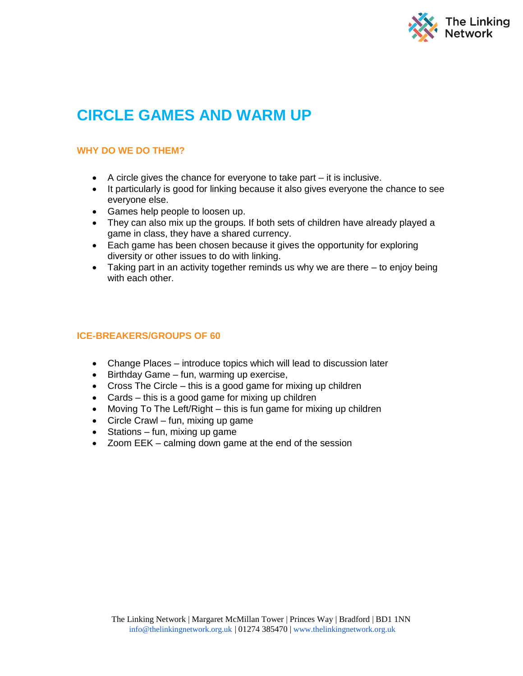

# **CIRCLE GAMES AND WARM UP**

# **WHY DO WE DO THEM?**

- A circle gives the chance for everyone to take part it is inclusive.
- It particularly is good for linking because it also gives everyone the chance to see everyone else.
- Games help people to loosen up.
- They can also mix up the groups. If both sets of children have already played a game in class, they have a shared currency.
- Each game has been chosen because it gives the opportunity for exploring diversity or other issues to do with linking.
- Taking part in an activity together reminds us why we are there to enjoy being with each other.

# **ICE-BREAKERS/GROUPS OF 60**

- Change Places introduce topics which will lead to discussion later
- Birthday Game fun, warming up exercise,
- $\bullet$  Cross The Circle this is a good game for mixing up children
- Cards this is a good game for mixing up children
- Moving To The Left/Right this is fun game for mixing up children
- Circle Crawl fun, mixing up game
- $\bullet$  Stations fun, mixing up game
- Zoom EEK calming down game at the end of the session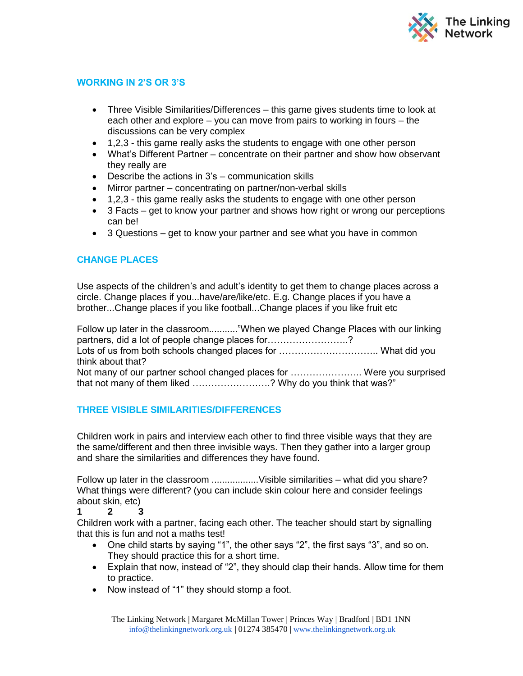

# **WORKING IN 2'S OR 3'S**

- Three Visible Similarities/Differences this game gives students time to look at each other and explore – you can move from pairs to working in fours – the discussions can be very complex
- 1,2,3 this game really asks the students to engage with one other person
- What's Different Partner concentrate on their partner and show how observant they really are
- Describe the actions in 3's communication skills
- Mirror partner concentrating on partner/non-verbal skills
- 1,2,3 this game really asks the students to engage with one other person
- 3 Facts get to know your partner and shows how right or wrong our perceptions can be!
- 3 Questions get to know your partner and see what you have in common

# **CHANGE PLACES**

Use aspects of the children's and adult's identity to get them to change places across a circle. Change places if you...have/are/like/etc. E.g. Change places if you have a brother...Change places if you like football...Change places if you like fruit etc

Follow up later in the classroom..........."When we played Change Places with our linking partners, did a lot of people change places for……………………..? Lots of us from both schools changed places for ………………………….. What did you think about that? Not many of our partner school changed places for ......................... Were you surprised that not many of them liked …………………….? Why do you think that was?"

# **THREE VISIBLE SIMILARITIES/DIFFERENCES**

Children work in pairs and interview each other to find three visible ways that they are the same/different and then three invisible ways. Then they gather into a larger group and share the similarities and differences they have found.

Follow up later in the classroom ...................Visible similarities – what did you share? What things were different? (you can include skin colour here and consider feelings about skin, etc)

## **1 2 3**

Children work with a partner, facing each other. The teacher should start by signalling that this is fun and not a maths test!

- One child starts by saying "1", the other says "2", the first says "3", and so on. They should practice this for a short time.
- Explain that now, instead of "2", they should clap their hands. Allow time for them to practice.
- Now instead of "1" they should stomp a foot.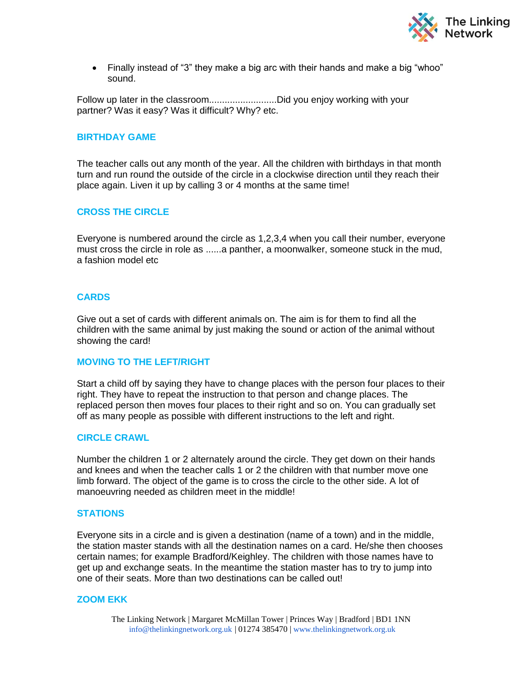

 Finally instead of "3" they make a big arc with their hands and make a big "whoo" sound.

Follow up later in the classroom................................Did you enjoy working with your partner? Was it easy? Was it difficult? Why? etc.

#### **BIRTHDAY GAME**

The teacher calls out any month of the year. All the children with birthdays in that month turn and run round the outside of the circle in a clockwise direction until they reach their place again. Liven it up by calling 3 or 4 months at the same time!

## **CROSS THE CIRCLE**

Everyone is numbered around the circle as 1,2,3,4 when you call their number, everyone must cross the circle in role as ......a panther, a moonwalker, someone stuck in the mud, a fashion model etc

## **CARDS**

Give out a set of cards with different animals on. The aim is for them to find all the children with the same animal by just making the sound or action of the animal without showing the card!

#### **MOVING TO THE LEFT/RIGHT**

Start a child off by saying they have to change places with the person four places to their right. They have to repeat the instruction to that person and change places. The replaced person then moves four places to their right and so on. You can gradually set off as many people as possible with different instructions to the left and right.

#### **CIRCLE CRAWL**

Number the children 1 or 2 alternately around the circle. They get down on their hands and knees and when the teacher calls 1 or 2 the children with that number move one limb forward. The object of the game is to cross the circle to the other side. A lot of manoeuvring needed as children meet in the middle!

#### **STATIONS**

Everyone sits in a circle and is given a destination (name of a town) and in the middle, the station master stands with all the destination names on a card. He/she then chooses certain names; for example Bradford/Keighley. The children with those names have to get up and exchange seats. In the meantime the station master has to try to jump into one of their seats. More than two destinations can be called out!

#### **ZOOM EKK**

The Linking Network | Margaret McMillan Tower | Princes Way | Bradford | BD1 1NN [info@thelinkingnetwork.org.uk](mailto:info@thelinkingnetwork.org.uk) | 01274 385470 | [www.thelinkingnetwork.org.uk](http://www.thelinkingnetwork.org.uk/)